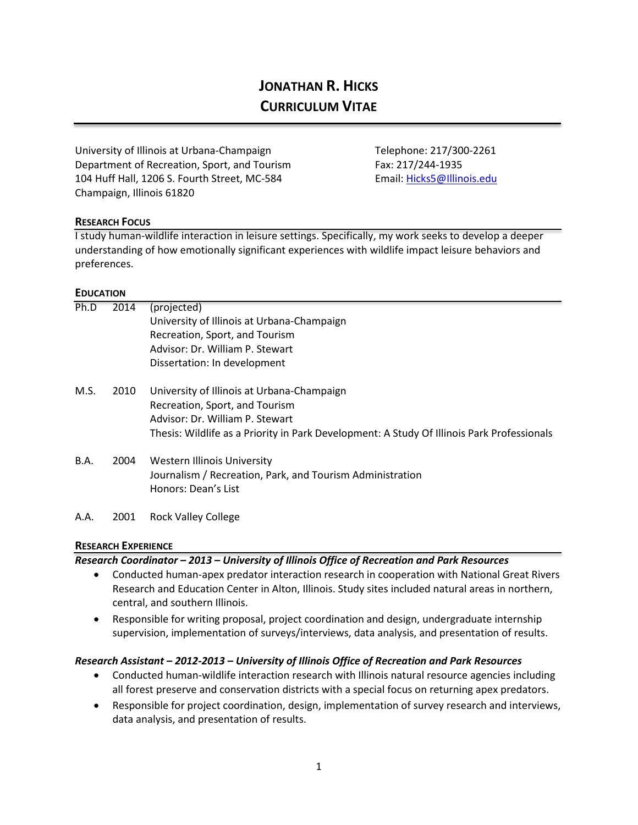# **JONATHAN R. HICKS CURRICULUM VITAE**

University of Illinois at Urbana-Champaign Telephone: 217/300-2261 Department of Recreation, Sport, and Tourism Fax: 217/244-1935 104 Huff Hall, 1206 S. Fourth Street, MC-584 Email: [Hicks5@Illinois.edu](mailto:Hicks5@Illinois.edu) Champaign, Illinois 61820

#### **RESEARCH FOCUS**

I study human-wildlife interaction in leisure settings. Specifically, my work seeks to develop a deeper understanding of how emotionally significant experiences with wildlife impact leisure behaviors and preferences.

#### **EDUCATION**

| Ph.D | 2014 | (projected)                                                                                |
|------|------|--------------------------------------------------------------------------------------------|
|      |      | University of Illinois at Urbana-Champaign                                                 |
|      |      | Recreation, Sport, and Tourism                                                             |
|      |      | Advisor: Dr. William P. Stewart                                                            |
|      |      | Dissertation: In development                                                               |
| M.S. | 2010 | University of Illinois at Urbana-Champaign                                                 |
|      |      | Recreation, Sport, and Tourism                                                             |
|      |      | Advisor: Dr. William P. Stewart                                                            |
|      |      | Thesis: Wildlife as a Priority in Park Development: A Study Of Illinois Park Professionals |
| B.A. | 2004 | Western Illinois University                                                                |
|      |      | Journalism / Recreation, Park, and Tourism Administration                                  |
|      |      | Honors: Dean's List                                                                        |
| A.A. | 2001 | <b>Rock Valley College</b>                                                                 |

#### **RESEARCH EXPERIENCE**

*Research Coordinator – 2013 – University of Illinois Office of Recreation and Park Resources* 

- Conducted human-apex predator interaction research in cooperation with National Great Rivers Research and Education Center in Alton, Illinois. Study sites included natural areas in northern, central, and southern Illinois.
- Responsible for writing proposal, project coordination and design, undergraduate internship supervision, implementation of surveys/interviews, data analysis, and presentation of results.

#### *Research Assistant – 2012-2013 – University of Illinois Office of Recreation and Park Resources*

- Conducted human-wildlife interaction research with Illinois natural resource agencies including all forest preserve and conservation districts with a special focus on returning apex predators.
- Responsible for project coordination, design, implementation of survey research and interviews, data analysis, and presentation of results.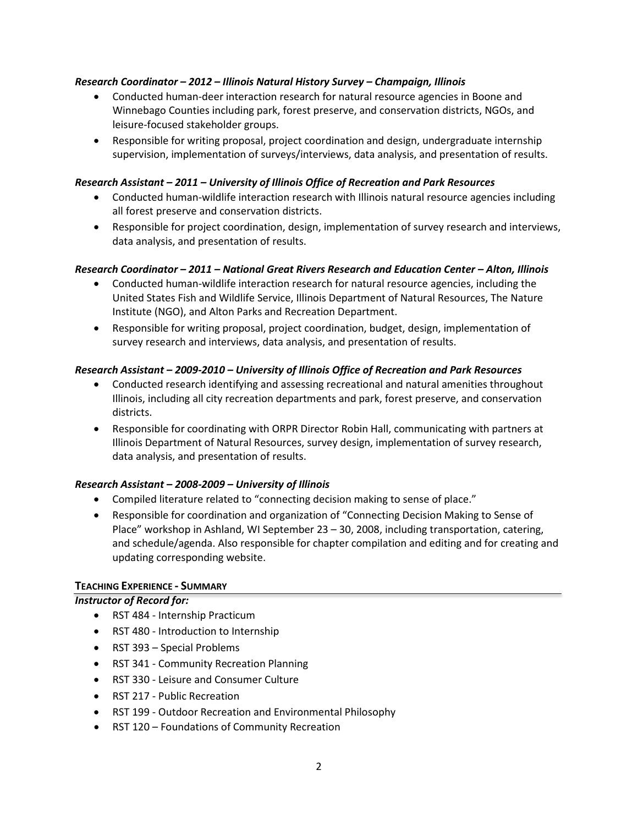## *Research Coordinator – 2012 – Illinois Natural History Survey – Champaign, Illinois*

- Conducted human-deer interaction research for natural resource agencies in Boone and Winnebago Counties including park, forest preserve, and conservation districts, NGOs, and leisure-focused stakeholder groups.
- Responsible for writing proposal, project coordination and design, undergraduate internship supervision, implementation of surveys/interviews, data analysis, and presentation of results.

#### *Research Assistant – 2011 – University of Illinois Office of Recreation and Park Resources*

- Conducted human-wildlife interaction research with Illinois natural resource agencies including all forest preserve and conservation districts.
- Responsible for project coordination, design, implementation of survey research and interviews, data analysis, and presentation of results.

#### *Research Coordinator – 2011 – National Great Rivers Research and Education Center – Alton, Illinois*

- Conducted human-wildlife interaction research for natural resource agencies, including the United States Fish and Wildlife Service, Illinois Department of Natural Resources, The Nature Institute (NGO), and Alton Parks and Recreation Department.
- Responsible for writing proposal, project coordination, budget, design, implementation of survey research and interviews, data analysis, and presentation of results.

#### *Research Assistant – 2009-2010 – University of Illinois Office of Recreation and Park Resources*

- Conducted research identifying and assessing recreational and natural amenities throughout Illinois, including all city recreation departments and park, forest preserve, and conservation districts.
- Responsible for coordinating with ORPR Director Robin Hall, communicating with partners at Illinois Department of Natural Resources, survey design, implementation of survey research, data analysis, and presentation of results.

#### *Research Assistant – 2008-2009 – University of Illinois*

- Compiled literature related to "connecting decision making to sense of place."
- Responsible for coordination and organization of "Connecting Decision Making to Sense of Place" workshop in Ashland, WI September 23 – 30, 2008, including transportation, catering, and schedule/agenda. Also responsible for chapter compilation and editing and for creating and updating corresponding website.

#### **TEACHING EXPERIENCE - SUMMARY**

#### *Instructor of Record for:*

- RST 484 Internship Practicum
- RST 480 Introduction to Internship
- RST 393 Special Problems
- RST 341 Community Recreation Planning
- RST 330 Leisure and Consumer Culture
- RST 217 Public Recreation
- RST 199 Outdoor Recreation and Environmental Philosophy
- RST 120 Foundations of Community Recreation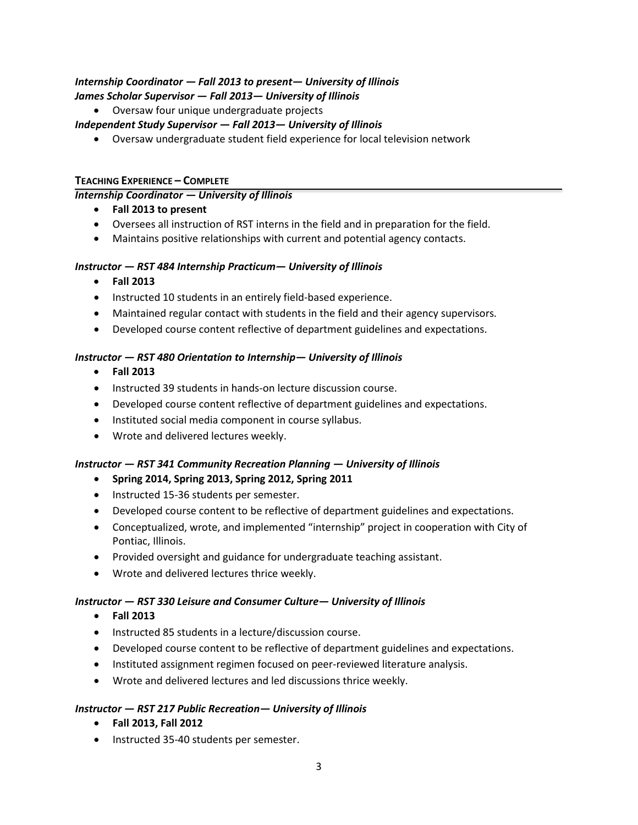# *Internship Coordinator — Fall 2013 to present— University of Illinois James Scholar Supervisor — Fall 2013— University of Illinois*

• Oversaw four unique undergraduate projects

## *Independent Study Supervisor — Fall 2013— University of Illinois*

• Oversaw undergraduate student field experience for local television network

## **TEACHING EXPERIENCE – COMPLETE**

## *Internship Coordinator — University of Illinois*

- **Fall 2013 to present**
- Oversees all instruction of RST interns in the field and in preparation for the field.
- Maintains positive relationships with current and potential agency contacts.

#### *Instructor — RST 484 Internship Practicum— University of Illinois*

- **Fall 2013**
- Instructed 10 students in an entirely field-based experience.
- Maintained regular contact with students in the field and their agency supervisors.
- Developed course content reflective of department guidelines and expectations.

## *Instructor — RST 480 Orientation to Internship— University of Illinois*

- **Fall 2013**
- Instructed 39 students in hands-on lecture discussion course.
- Developed course content reflective of department guidelines and expectations.
- Instituted social media component in course syllabus.
- Wrote and delivered lectures weekly.

## *Instructor — RST 341 Community Recreation Planning — University of Illinois*

#### • **Spring 2014, Spring 2013, Spring 2012, Spring 2011**

- Instructed 15-36 students per semester.
- Developed course content to be reflective of department guidelines and expectations.
- Conceptualized, wrote, and implemented "internship" project in cooperation with City of Pontiac, Illinois.
- Provided oversight and guidance for undergraduate teaching assistant.
- Wrote and delivered lectures thrice weekly.

#### *Instructor — RST 330 Leisure and Consumer Culture— University of Illinois*

- **Fall 2013**
- Instructed 85 students in a lecture/discussion course.
- Developed course content to be reflective of department guidelines and expectations.
- Instituted assignment regimen focused on peer-reviewed literature analysis.
- Wrote and delivered lectures and led discussions thrice weekly.

#### *Instructor — RST 217 Public Recreation— University of Illinois*

- **Fall 2013, Fall 2012**
- Instructed 35-40 students per semester.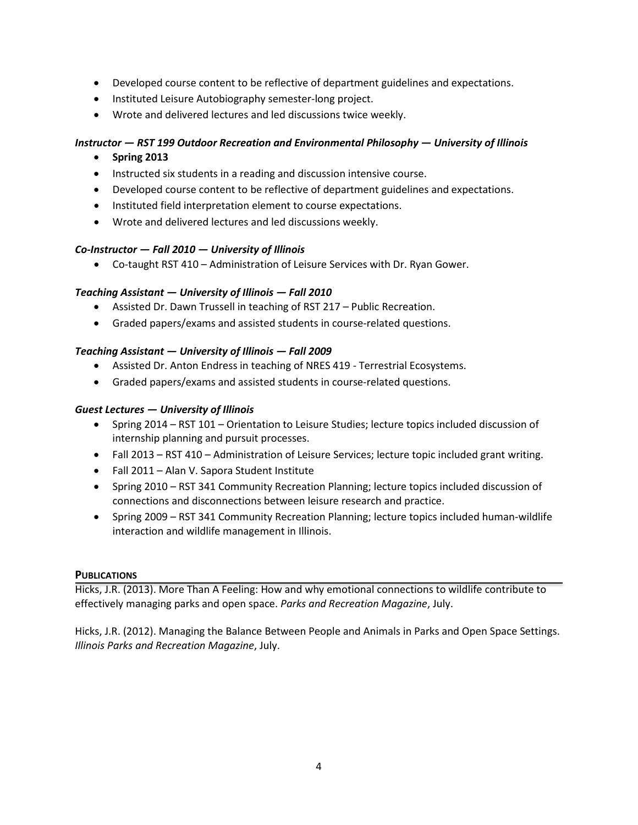- Developed course content to be reflective of department guidelines and expectations.
- Instituted Leisure Autobiography semester-long project.
- Wrote and delivered lectures and led discussions twice weekly.

## *Instructor — RST 199 Outdoor Recreation and Environmental Philosophy — University of Illinois*

- **Spring 2013**
- Instructed six students in a reading and discussion intensive course.
- Developed course content to be reflective of department guidelines and expectations.
- Instituted field interpretation element to course expectations.
- Wrote and delivered lectures and led discussions weekly.

#### *Co-Instructor — Fall 2010 — University of Illinois*

• Co-taught RST 410 – Administration of Leisure Services with Dr. Ryan Gower.

#### *Teaching Assistant — University of Illinois — Fall 2010*

- Assisted Dr. Dawn Trussell in teaching of RST 217 Public Recreation.
- Graded papers/exams and assisted students in course-related questions.

#### *Teaching Assistant — University of Illinois — Fall 2009*

- Assisted Dr. Anton Endress in teaching of NRES 419 Terrestrial Ecosystems.
- Graded papers/exams and assisted students in course-related questions.

#### *Guest Lectures — University of Illinois*

- Spring 2014 RST 101 Orientation to Leisure Studies; lecture topics included discussion of internship planning and pursuit processes.
- Fall 2013 RST 410 Administration of Leisure Services; lecture topic included grant writing.
- Fall 2011 Alan V. Sapora Student Institute
- Spring 2010 RST 341 Community Recreation Planning; lecture topics included discussion of connections and disconnections between leisure research and practice.
- Spring 2009 RST 341 Community Recreation Planning; lecture topics included human-wildlife interaction and wildlife management in Illinois.

#### **PUBLICATIONS**

Hicks, J.R. (2013). More Than A Feeling: How and why emotional connections to wildlife contribute to effectively managing parks and open space. *Parks and Recreation Magazine*, July.

Hicks, J.R. (2012). Managing the Balance Between People and Animals in Parks and Open Space Settings. *Illinois Parks and Recreation Magazine*, July.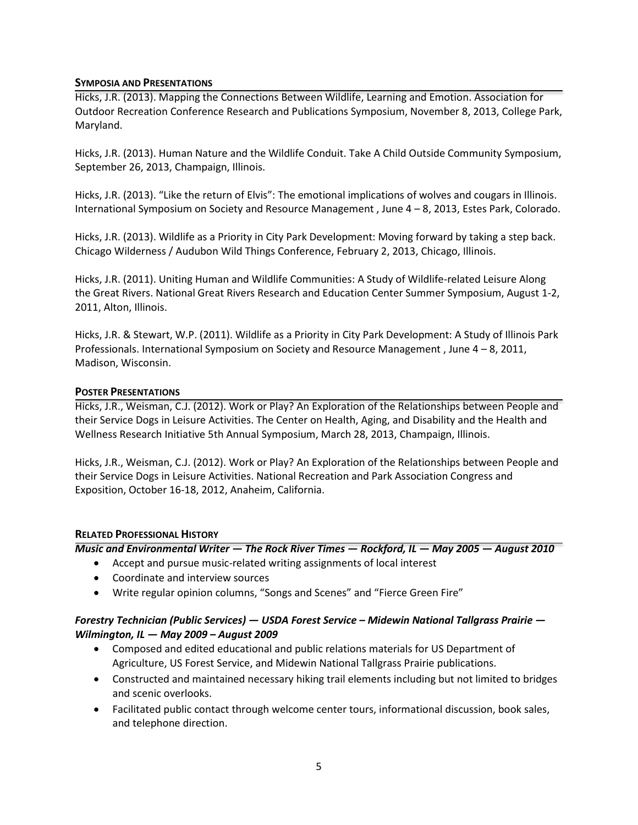#### **SYMPOSIA AND PRESENTATIONS**

Hicks, J.R. (2013). Mapping the Connections Between Wildlife, Learning and Emotion. Association for Outdoor Recreation Conference Research and Publications Symposium, November 8, 2013, College Park, Maryland.

Hicks, J.R. (2013). Human Nature and the Wildlife Conduit. Take A Child Outside Community Symposium, September 26, 2013, Champaign, Illinois.

Hicks, J.R. (2013). "Like the return of Elvis": The emotional implications of wolves and cougars in Illinois. International Symposium on Society and Resource Management , June 4 – 8, 2013, Estes Park, Colorado.

Hicks, J.R. (2013). Wildlife as a Priority in City Park Development: Moving forward by taking a step back. Chicago Wilderness / Audubon Wild Things Conference, February 2, 2013, Chicago, Illinois.

Hicks, J.R. (2011). Uniting Human and Wildlife Communities: A Study of Wildlife-related Leisure Along the Great Rivers. National Great Rivers Research and Education Center Summer Symposium, August 1-2, 2011, Alton, Illinois.

Hicks, J.R. & Stewart, W.P. (2011). Wildlife as a Priority in City Park Development: A Study of Illinois Park Professionals. International Symposium on Society and Resource Management , June 4 – 8, 2011, Madison, Wisconsin.

#### **POSTER PRESENTATIONS**

Hicks, J.R., Weisman, C.J. (2012). Work or Play? An Exploration of the Relationships between People and their Service Dogs in Leisure Activities. The Center on Health, Aging, and Disability and the Health and Wellness Research Initiative 5th Annual Symposium, March 28, 2013, Champaign, Illinois.

Hicks, J.R., Weisman, C.J. (2012). Work or Play? An Exploration of the Relationships between People and their Service Dogs in Leisure Activities. National Recreation and Park Association Congress and Exposition, October 16-18, 2012, Anaheim, California.

#### **RELATED PROFESSIONAL HISTORY**

*Music and Environmental Writer — The Rock River Times — Rockford, IL — May 2005 — August 2010* 

- Accept and pursue music-related writing assignments of local interest
- Coordinate and interview sources
- Write regular opinion columns, "Songs and Scenes" and "Fierce Green Fire"

## *Forestry Technician (Public Services) — USDA Forest Service – Midewin National Tallgrass Prairie — Wilmington, IL — May 2009 – August 2009*

- Composed and edited educational and public relations materials for US Department of Agriculture, US Forest Service, and Midewin National Tallgrass Prairie publications.
- Constructed and maintained necessary hiking trail elements including but not limited to bridges and scenic overlooks.
- Facilitated public contact through welcome center tours, informational discussion, book sales, and telephone direction.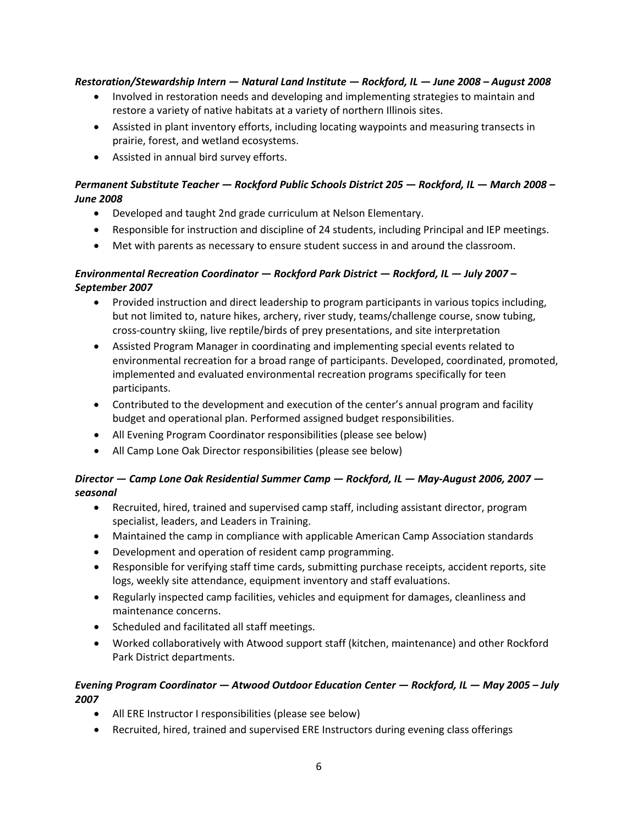## *Restoration/Stewardship Intern — Natural Land Institute — Rockford, IL — June 2008 – August 2008*

- Involved in restoration needs and developing and implementing strategies to maintain and restore a variety of native habitats at a variety of northern Illinois sites.
- Assisted in plant inventory efforts, including locating waypoints and measuring transects in prairie, forest, and wetland ecosystems.
- Assisted in annual bird survey efforts.

# *Permanent Substitute Teacher — Rockford Public Schools District 205 — Rockford, IL — March 2008 – June 2008*

- Developed and taught 2nd grade curriculum at Nelson Elementary.
- Responsible for instruction and discipline of 24 students, including Principal and IEP meetings.
- Met with parents as necessary to ensure student success in and around the classroom.

# *Environmental Recreation Coordinator — Rockford Park District — Rockford, IL — July 2007 – September 2007*

- Provided instruction and direct leadership to program participants in various topics including, but not limited to, nature hikes, archery, river study, teams/challenge course, snow tubing, cross-country skiing, live reptile/birds of prey presentations, and site interpretation
- Assisted Program Manager in coordinating and implementing special events related to environmental recreation for a broad range of participants. Developed, coordinated, promoted, implemented and evaluated environmental recreation programs specifically for teen participants.
- Contributed to the development and execution of the center's annual program and facility budget and operational plan. Performed assigned budget responsibilities.
- All Evening Program Coordinator responsibilities (please see below)
- All Camp Lone Oak Director responsibilities (please see below)

# *Director — Camp Lone Oak Residential Summer Camp — Rockford, IL — May-August 2006, 2007 seasonal*

- Recruited, hired, trained and supervised camp staff, including assistant director, program specialist, leaders, and Leaders in Training.
- Maintained the camp in compliance with applicable American Camp Association standards
- Development and operation of resident camp programming.
- Responsible for verifying staff time cards, submitting purchase receipts, accident reports, site logs, weekly site attendance, equipment inventory and staff evaluations.
- Regularly inspected camp facilities, vehicles and equipment for damages, cleanliness and maintenance concerns.
- Scheduled and facilitated all staff meetings.
- Worked collaboratively with Atwood support staff (kitchen, maintenance) and other Rockford Park District departments.

## *Evening Program Coordinator — Atwood Outdoor Education Center — Rockford, IL — May 2005 – July 2007*

- All ERE Instructor I responsibilities (please see below)
- Recruited, hired, trained and supervised ERE Instructors during evening class offerings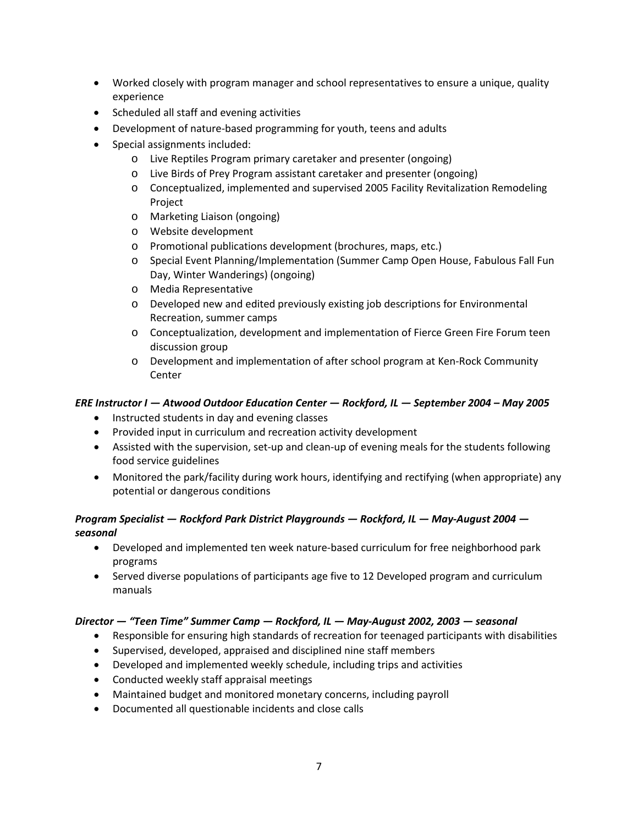- Worked closely with program manager and school representatives to ensure a unique, quality experience
- Scheduled all staff and evening activities
- Development of nature-based programming for youth, teens and adults
- Special assignments included:
	- o Live Reptiles Program primary caretaker and presenter (ongoing)
	- o Live Birds of Prey Program assistant caretaker and presenter (ongoing)
	- o Conceptualized, implemented and supervised 2005 Facility Revitalization Remodeling Project
	- o Marketing Liaison (ongoing)
	- o Website development
	- o Promotional publications development (brochures, maps, etc.)
	- o Special Event Planning/Implementation (Summer Camp Open House, Fabulous Fall Fun Day, Winter Wanderings) (ongoing)
	- o Media Representative
	- o Developed new and edited previously existing job descriptions for Environmental Recreation, summer camps
	- o Conceptualization, development and implementation of Fierce Green Fire Forum teen discussion group
	- o Development and implementation of after school program at Ken-Rock Community Center

## *ERE Instructor I — Atwood Outdoor Education Center — Rockford, IL — September 2004 – May 2005*

- Instructed students in day and evening classes
- Provided input in curriculum and recreation activity development
- Assisted with the supervision, set-up and clean-up of evening meals for the students following food service guidelines
- Monitored the park/facility during work hours, identifying and rectifying (when appropriate) any potential or dangerous conditions

## *Program Specialist — Rockford Park District Playgrounds — Rockford, IL — May-August 2004 seasonal*

- Developed and implemented ten week nature-based curriculum for free neighborhood park programs
- Served diverse populations of participants age five to 12 Developed program and curriculum manuals

## *Director — "Teen Time" Summer Camp — Rockford, IL — May-August 2002, 2003 — seasonal*

- Responsible for ensuring high standards of recreation for teenaged participants with disabilities
- Supervised, developed, appraised and disciplined nine staff members
- Developed and implemented weekly schedule, including trips and activities
- Conducted weekly staff appraisal meetings
- Maintained budget and monitored monetary concerns, including payroll
- Documented all questionable incidents and close calls